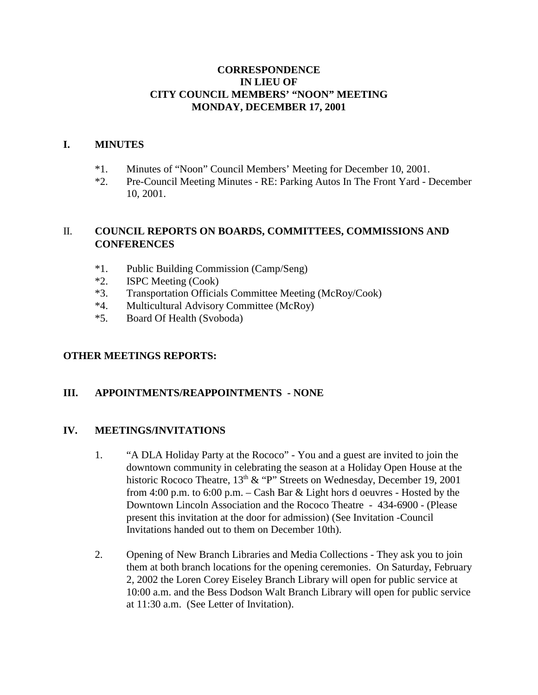### **CORRESPONDENCE IN LIEU OF CITY COUNCIL MEMBERS' "NOON" MEETING MONDAY, DECEMBER 17, 2001**

## **I. MINUTES**

- \*1. Minutes of "Noon" Council Members' Meeting for December 10, 2001.
- \*2. Pre-Council Meeting Minutes RE: Parking Autos In The Front Yard December 10, 2001.

## II. **COUNCIL REPORTS ON BOARDS, COMMITTEES, COMMISSIONS AND CONFERENCES**

- \*1. Public Building Commission (Camp/Seng)
- \*2. ISPC Meeting (Cook)
- \*3. Transportation Officials Committee Meeting (McRoy/Cook)
- \*4. Multicultural Advisory Committee (McRoy)
- \*5. Board Of Health (Svoboda)

#### **OTHER MEETINGS REPORTS:**

## **III. APPOINTMENTS/REAPPOINTMENTS - NONE**

#### **IV. MEETINGS/INVITATIONS**

- 1. "A DLA Holiday Party at the Rococo" You and a guest are invited to join the downtown community in celebrating the season at a Holiday Open House at the historic Rococo Theatre, 13<sup>th</sup> & "P" Streets on Wednesday, December 19, 2001 from 4:00 p.m. to 6:00 p.m. – Cash Bar & Light hors d oeuvres - Hosted by the Downtown Lincoln Association and the Rococo Theatre - 434-6900 - (Please present this invitation at the door for admission) (See Invitation -Council Invitations handed out to them on December 10th).
- 2. Opening of New Branch Libraries and Media Collections They ask you to join them at both branch locations for the opening ceremonies. On Saturday, February 2, 2002 the Loren Corey Eiseley Branch Library will open for public service at 10:00 a.m. and the Bess Dodson Walt Branch Library will open for public service at 11:30 a.m. (See Letter of Invitation).